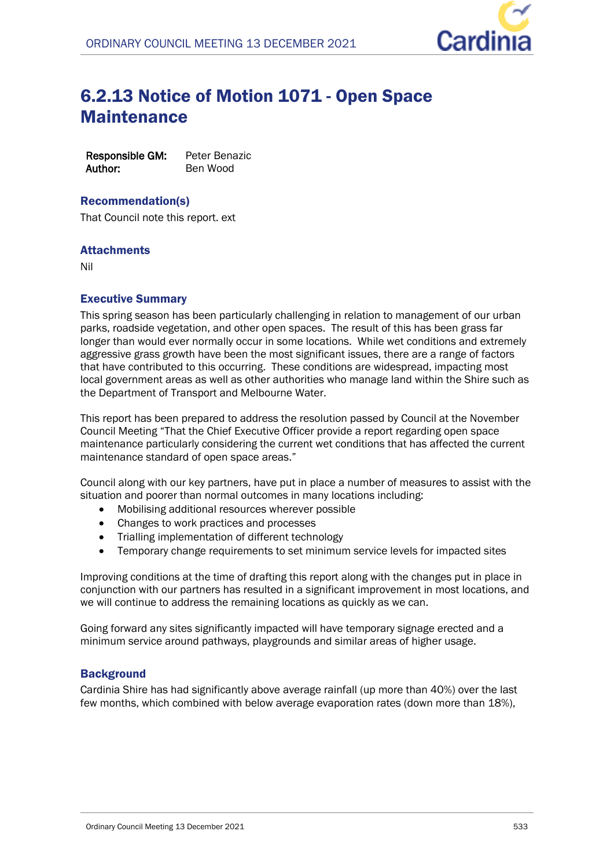

# 6.2.13 Notice of Motion 1071 - Open Space Maintenance

**Responsible GM:** Peter Benazic **Author:** Ben Wood

## Recommendation(s)

That Council note this report. ext

# **Attachments**

Nil

# Executive Summary

This spring season has been particularly challenging in relation to management of our urban parks, roadside vegetation, and other open spaces. The result of this has been grass far longer than would ever normally occur in some locations. While wet conditions and extremely aggressive grass growth have been the most significant issues, there are a range of factors that have contributed to this occurring. These conditions are widespread, impacting most local government areas as well as other authorities who manage land within the Shire such as the Department of Transport and Melbourne Water.

This report has been prepared to address the resolution passed by Council at the November Council Meeting "That the Chief Executive Officer provide a report regarding open space maintenance particularly considering the current wet conditions that has affected the current maintenance standard of open space areas."

Council along with our key partners, have put in place a number of measures to assist with the situation and poorer than normal outcomes in many locations including:

- Mobilising additional resources wherever possible
- Changes to work practices and processes
- Trialling implementation of different technology
- Temporary change requirements to set minimum service levels for impacted sites

Improving conditions at the time of drafting this report along with the changes put in place in conjunction with our partners has resulted in a significant improvement in most locations, and we will continue to address the remaining locations as quickly as we can.

Going forward any sites significantly impacted will have temporary signage erected and a minimum service around pathways, playgrounds and similar areas of higher usage.

## **Background**

Cardinia Shire has had significantly above average rainfall (up more than 40%) over the last few months, which combined with below average evaporation rates (down more than 18%),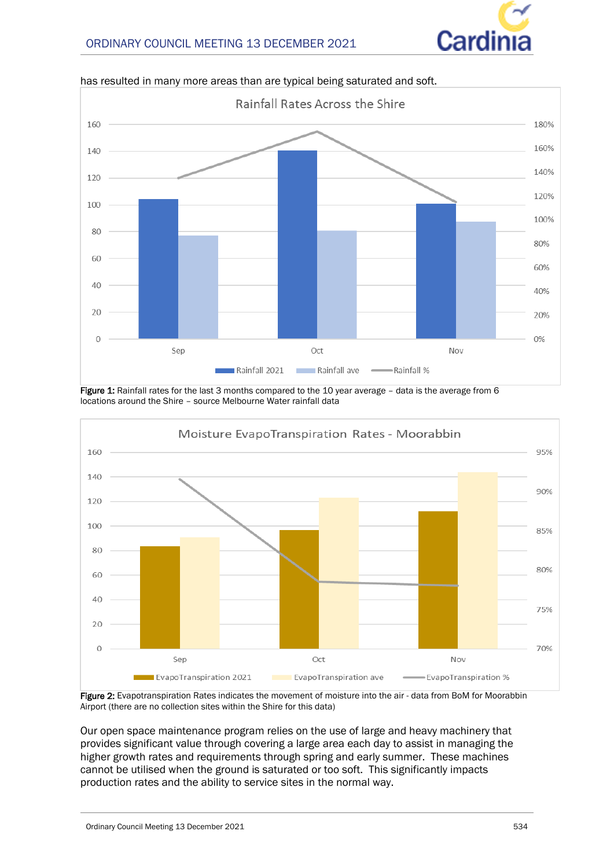



has resulted in many more areas than are typical being saturated and soft.

**Figure 1:** Rainfall rates for the last 3 months compared to the 10 year average - data is the average from 6 locations around the Shire – source Melbourne Water rainfall data



**Figure 2:** Evapotranspiration Rates indicates the movement of moisture into the air - data from BoM for Moorabbin Airport (there are no collection sites within the Shire for this data)

Our open space maintenance program relies on the use of large and heavy machinery that provides significant value through covering a large area each day to assist in managing the higher growth rates and requirements through spring and early summer. These machines cannot be utilised when the ground is saturated or too soft. This significantly impacts production rates and the ability to service sites in the normal way.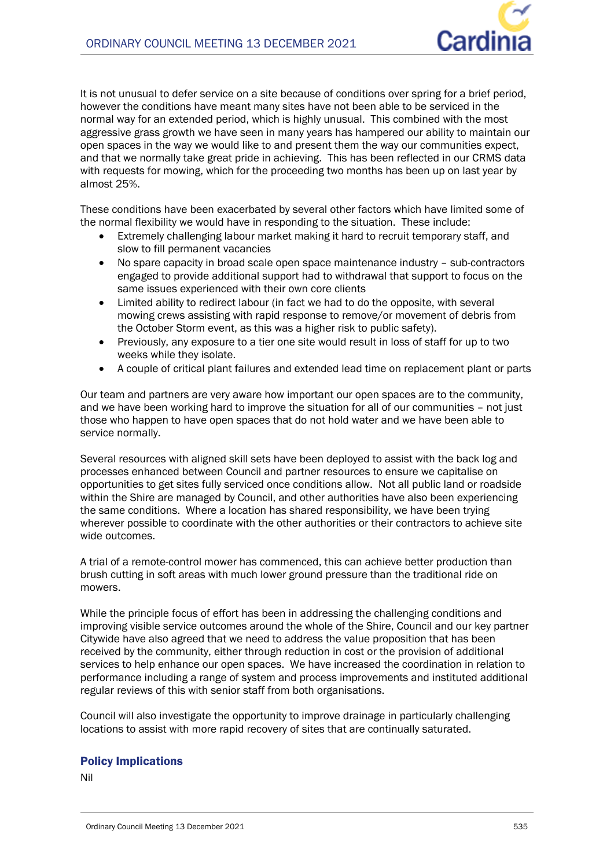

It is not unusual to defer service on a site because of conditions over spring for a brief period, however the conditions have meant many sites have not been able to be serviced in the normal way for an extended period, which is highly unusual. This combined with the most aggressive grass growth we have seen in many years has hampered our ability to maintain our open spaces in the way we would like to and present them the way our communities expect, and that we normally take great pride in achieving. This has been reflected in our CRMS data with requests for mowing, which for the proceeding two months has been up on last year by almost 25%.

These conditions have been exacerbated by several other factors which have limited some of the normal flexibility we would have in responding to the situation. These include:

- Extremely challenging labour market making it hard to recruit temporary staff, and slow to fill permanent vacancies
- No spare capacity in broad scale open space maintenance industry sub-contractors engaged to provide additional support had to withdrawal that support to focus on the same issues experienced with their own core clients
- Limited ability to redirect labour (in fact we had to do the opposite, with several mowing crews assisting with rapid response to remove/or movement of debris from the October Storm event, as this was a higher risk to public safety).
- Previously, any exposure to a tier one site would result in loss of staff for up to two weeks while they isolate.
- A couple of critical plant failures and extended lead time on replacement plant or parts

Our team and partners are very aware how important our open spaces are to the community, and we have been working hard to improve the situation for all of our communities – not just those who happen to have open spaces that do not hold water and we have been able to service normally.

Several resources with aligned skill sets have been deployed to assist with the back log and processes enhanced between Council and partner resources to ensure we capitalise on opportunities to get sites fully serviced once conditions allow. Not all public land or roadside within the Shire are managed by Council, and other authorities have also been experiencing the same conditions. Where a location has shared responsibility, we have been trying wherever possible to coordinate with the other authorities or their contractors to achieve site wide outcomes.

A trial of a remote-control mower has commenced, this can achieve better production than brush cutting in soft areas with much lower ground pressure than the traditional ride on mowers.

While the principle focus of effort has been in addressing the challenging conditions and improving visible service outcomes around the whole of the Shire, Council and our key partner Citywide have also agreed that we need to address the value proposition that has been received by the community, either through reduction in cost or the provision of additional services to help enhance our open spaces. We have increased the coordination in relation to performance including a range of system and process improvements and instituted additional regular reviews of this with senior staff from both organisations.

Council will also investigate the opportunity to improve drainage in particularly challenging locations to assist with more rapid recovery of sites that are continually saturated.

## Policy Implications

Nil